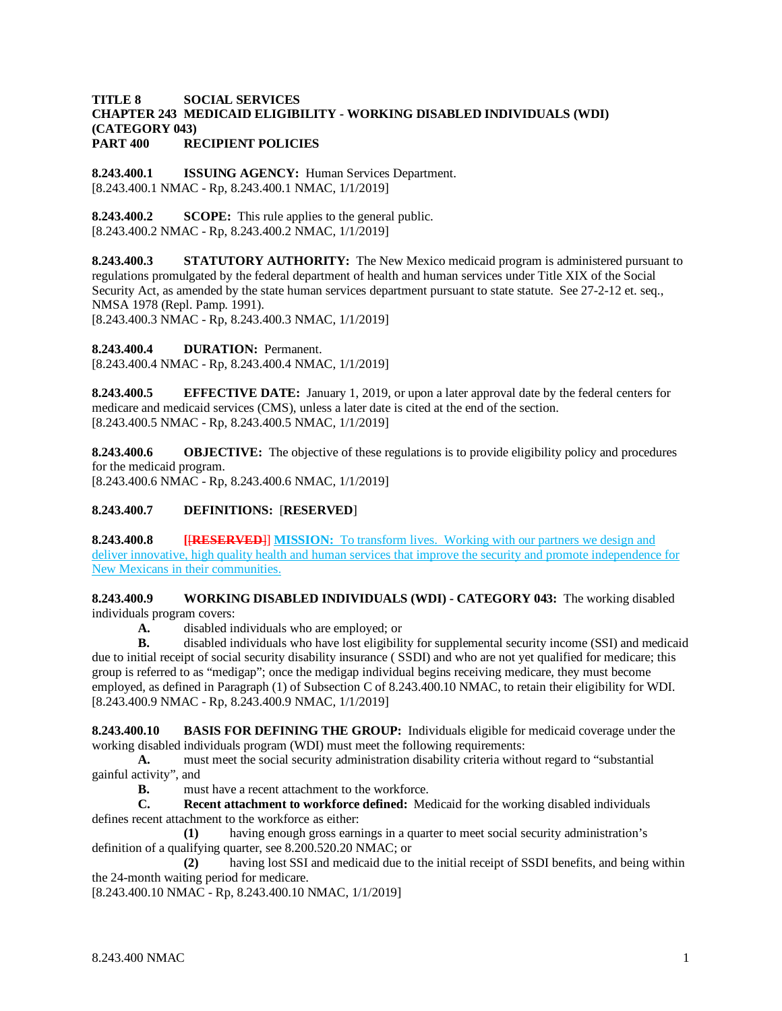### **TITLE 8 SOCIAL SERVICES CHAPTER 243 MEDICAID ELIGIBILITY - WORKING DISABLED INDIVIDUALS (WDI) (CATEGORY 043) PART 400 RECIPIENT POLICIES**

**8.243.400.1 ISSUING AGENCY:** Human Services Department. [8.243.400.1 NMAC - Rp, 8.243.400.1 NMAC, 1/1/2019]

**8.243.400.2 SCOPE:** This rule applies to the general public. [8.243.400.2 NMAC - Rp, 8.243.400.2 NMAC, 1/1/2019]

**8.243.400.3 STATUTORY AUTHORITY:** The New Mexico medicaid program is administered pursuant to regulations promulgated by the federal department of health and human services under Title XIX of the Social Security Act, as amended by the state human services department pursuant to state statute. See 27-2-12 et. seq., NMSA 1978 (Repl. Pamp. 1991).

[8.243.400.3 NMAC - Rp, 8.243.400.3 NMAC, 1/1/2019]

**8.243.400.4 DURATION:** Permanent.

[8.243.400.4 NMAC - Rp, 8.243.400.4 NMAC, 1/1/2019]

**8.243.400.5 EFFECTIVE DATE:** January 1, 2019, or upon a later approval date by the federal centers for medicare and medicaid services (CMS), unless a later date is cited at the end of the section. [8.243.400.5 NMAC - Rp, 8.243.400.5 NMAC, 1/1/2019]

**8.243.400.6 OBJECTIVE:** The objective of these regulations is to provide eligibility policy and procedures for the medicaid program. [8.243.400.6 NMAC - Rp, 8.243.400.6 NMAC, 1/1/2019]

# **8.243.400.7 DEFINITIONS:** [**RESERVED**]

**8.243.400.8 [**[**RESERVED**]] **MISSION:** To transform lives. Working with our partners we design and deliver innovative, high quality health and human services that improve the security and promote independence for New Mexicans in their communities.

**8.243.400.9 WORKING DISABLED INDIVIDUALS (WDI) - CATEGORY 043:** The working disabled individuals program covers:

**A.** disabled individuals who are employed; or

**B.** disabled individuals who have lost eligibility for supplemental security income (SSI) and medicaid due to initial receipt of social security disability insurance ( SSDI) and who are not yet qualified for medicare; this group is referred to as "medigap"; once the medigap individual begins receiving medicare, they must become employed, as defined in Paragraph (1) of Subsection C of 8.243.400.10 NMAC, to retain their eligibility for WDI. [8.243.400.9 NMAC - Rp, 8.243.400.9 NMAC, 1/1/2019]

**8.243.400.10 BASIS FOR DEFINING THE GROUP:** Individuals eligible for medicaid coverage under the working disabled individuals program (WDI) must meet the following requirements:

**A.** must meet the social security administration disability criteria without regard to "substantial gainful activity", and

**B.** must have a recent attachment to the workforce.<br> **C. Recent attachment to workforce defined:** Me.

**Recent attachment to workforce defined:** Medicaid for the working disabled individuals defines recent attachment to the workforce as either:

**(1)** having enough gross earnings in a quarter to meet social security administration's definition of a qualifying quarter, see 8.200.520.20 NMAC; or

**(2)** having lost SSI and medicaid due to the initial receipt of SSDI benefits, and being within the 24-month waiting period for medicare.

[8.243.400.10 NMAC - Rp, 8.243.400.10 NMAC, 1/1/2019]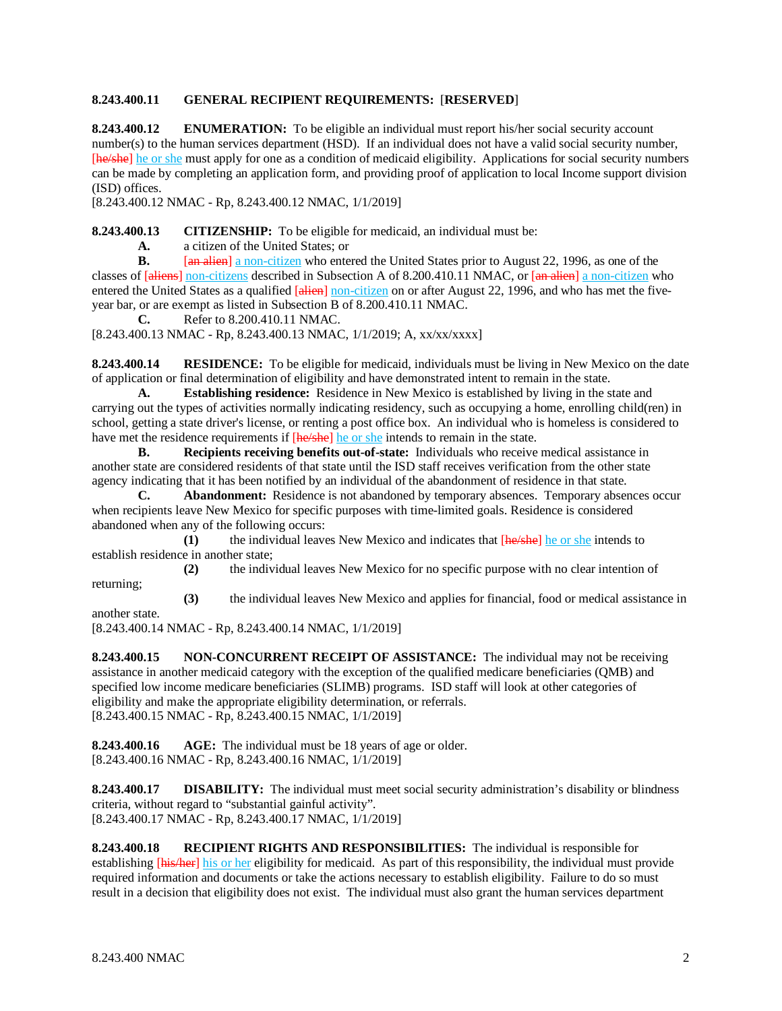# **8.243.400.11 GENERAL RECIPIENT REQUIREMENTS:** [**RESERVED**]

**8.243.400.12 ENUMERATION:** To be eligible an individual must report his/her social security account number(s) to the human services department (HSD). If an individual does not have a valid social security number, [he/she] he or she must apply for one as a condition of medicaid eligibility. Applications for social security numbers can be made by completing an application form, and providing proof of application to local Income support division (ISD) offices.

[8.243.400.12 NMAC - Rp, 8.243.400.12 NMAC, 1/1/2019]

**8.243.400.13 CITIZENSHIP:** To be eligible for medicaid, an individual must be:

**A.** a citizen of the United States; or

**B.** [an alien] a non-citizen who entered the United States prior to August 22, 1996, as one of the classes of [aliens] non-citizens described in Subsection A of 8.200.410.11 NMAC, or [an alien] a non-citizen who entered the United States as a qualified [alien] non-citizen on or after August 22, 1996, and who has met the fiveyear bar, or are exempt as listed in Subsection B of 8.200.410.11 NMAC.

**C.** Refer to 8.200.410.11 NMAC.

[8.243.400.13 NMAC - Rp, 8.243.400.13 NMAC, 1/1/2019; A, xx/xx/xxxx]

**8.243.400.14 RESIDENCE:** To be eligible for medicaid, individuals must be living in New Mexico on the date of application or final determination of eligibility and have demonstrated intent to remain in the state.

**A. Establishing residence:** Residence in New Mexico is established by living in the state and carrying out the types of activities normally indicating residency, such as occupying a home, enrolling child(ren) in school, getting a state driver's license, or renting a post office box. An individual who is homeless is considered to have met the residence requirements if  $[he/she]$  he or she intends to remain in the state.

**B. Recipients receiving benefits out-of-state:** Individuals who receive medical assistance in another state are considered residents of that state until the ISD staff receives verification from the other state agency indicating that it has been notified by an individual of the abandonment of residence in that state.

**C. Abandonment:** Residence is not abandoned by temporary absences. Temporary absences occur when recipients leave New Mexico for specific purposes with time-limited goals. Residence is considered abandoned when any of the following occurs:

**(1)** the individual leaves New Mexico and indicates that [he/she] he or she intends to establish residence in another state;

**(2)** the individual leaves New Mexico for no specific purpose with no clear intention of returning;

**(3)** the individual leaves New Mexico and applies for financial, food or medical assistance in another state.

[8.243.400.14 NMAC - Rp, 8.243.400.14 NMAC, 1/1/2019]

**8.243.400.15 NON-CONCURRENT RECEIPT OF ASSISTANCE:** The individual may not be receiving assistance in another medicaid category with the exception of the qualified medicare beneficiaries (QMB) and specified low income medicare beneficiaries (SLIMB) programs. ISD staff will look at other categories of eligibility and make the appropriate eligibility determination, or referrals.  $[8.243.400.15 \text{ NMAC} - \text{Rp}, 8.243.400.15 \text{ NMAC}, 1/1/2019]$ 

**8.243.400.16 AGE:** The individual must be 18 years of age or older. [8.243.400.16 NMAC - Rp, 8.243.400.16 NMAC, 1/1/2019]

**8.243.400.17 DISABILITY:** The individual must meet social security administration's disability or blindness criteria, without regard to "substantial gainful activity". [8.243.400.17 NMAC - Rp, 8.243.400.17 NMAC, 1/1/2019]

**8.243.400.18 RECIPIENT RIGHTS AND RESPONSIBILITIES:** The individual is responsible for establishing [his/her] his or her eligibility for medicaid. As part of this responsibility, the individual must provide required information and documents or take the actions necessary to establish eligibility. Failure to do so must result in a decision that eligibility does not exist. The individual must also grant the human services department